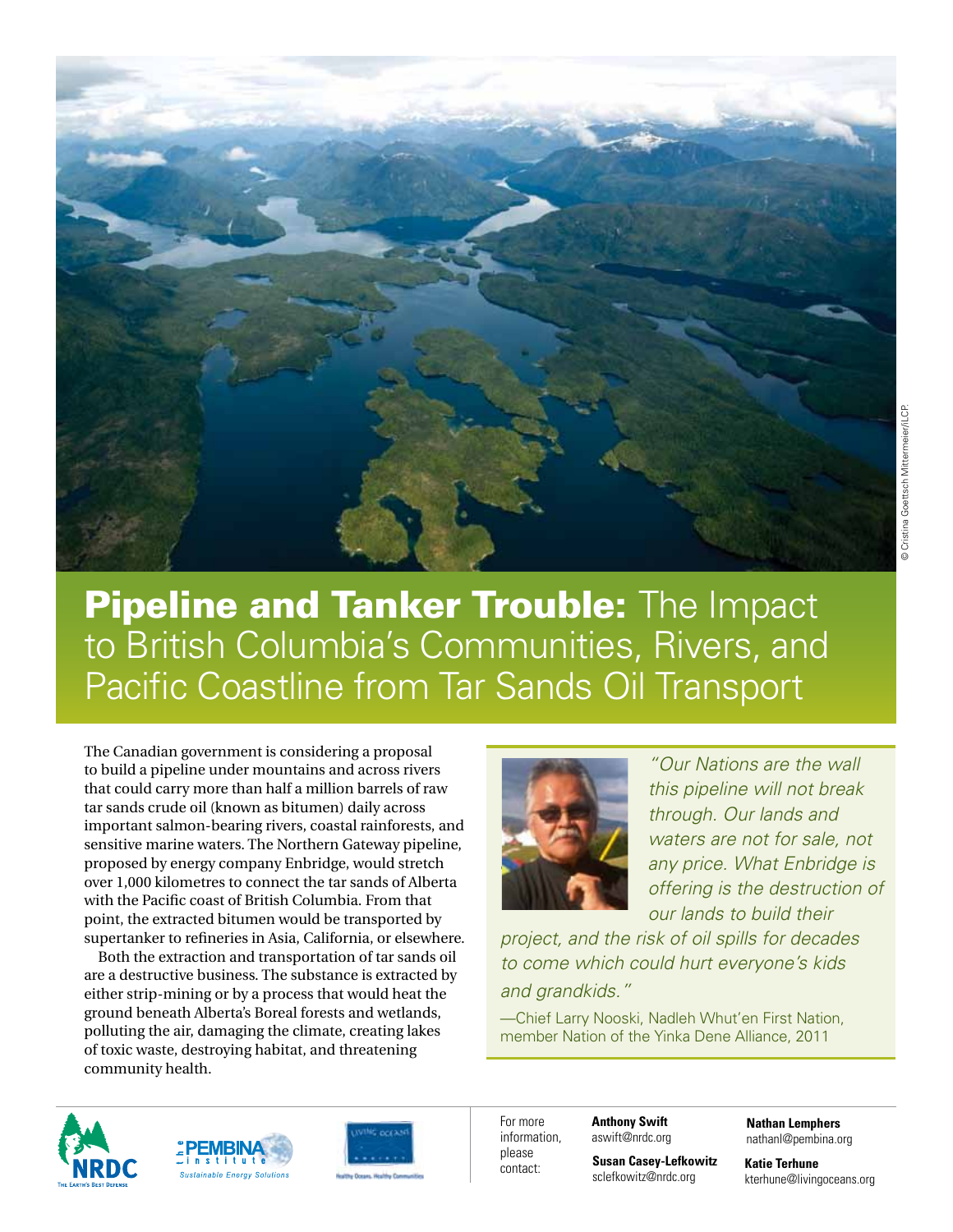

The Canadian government is considering a proposal to build a pipeline under mountains and across rivers that could carry more than half a million barrels of raw tar sands crude oil (known as bitumen) daily across important salmon-bearing rivers, coastal rainforests, and sensitive marine waters. The Northern Gateway pipeline, proposed by energy company Enbridge, would stretch over 1,000 kilometres to connect the tar sands of Alberta with the Pacific coast of British Columbia. From that point, the extracted bitumen would be transported by supertanker to refineries in Asia, California, or elsewhere.

Both the extraction and transportation of tar sands oil are a destructive business. The substance is extracted by either strip-mining or by a process that would heat the ground beneath Alberta's Boreal forests and wetlands, polluting the air, damaging the climate, creating lakes of toxic waste, destroying habitat, and threatening community health.



*"Our Nations are the wall this pipeline will not break through. Our lands and waters are not for sale, not*  any price. What Enbridge is *offering is the destruction of our lands to build their* 

*project, and the risk of oil spills for decades to come which could hurt everyone's kids and grandkids."* 

—Chief Larry Nooski, Nadleh Whut'en First Nation, member Nation of the Yinka Dene Alliance, 2011







For more information, **Anthony Swift** aswift@nrdc.org

> **Susan Casey-Lefkowitz** sclefkowitz@nrdc.org

**Nathan Lemphers** nathanl@pembina.org

**Katie Terhune** kterhune@livingoceans.org

please contact: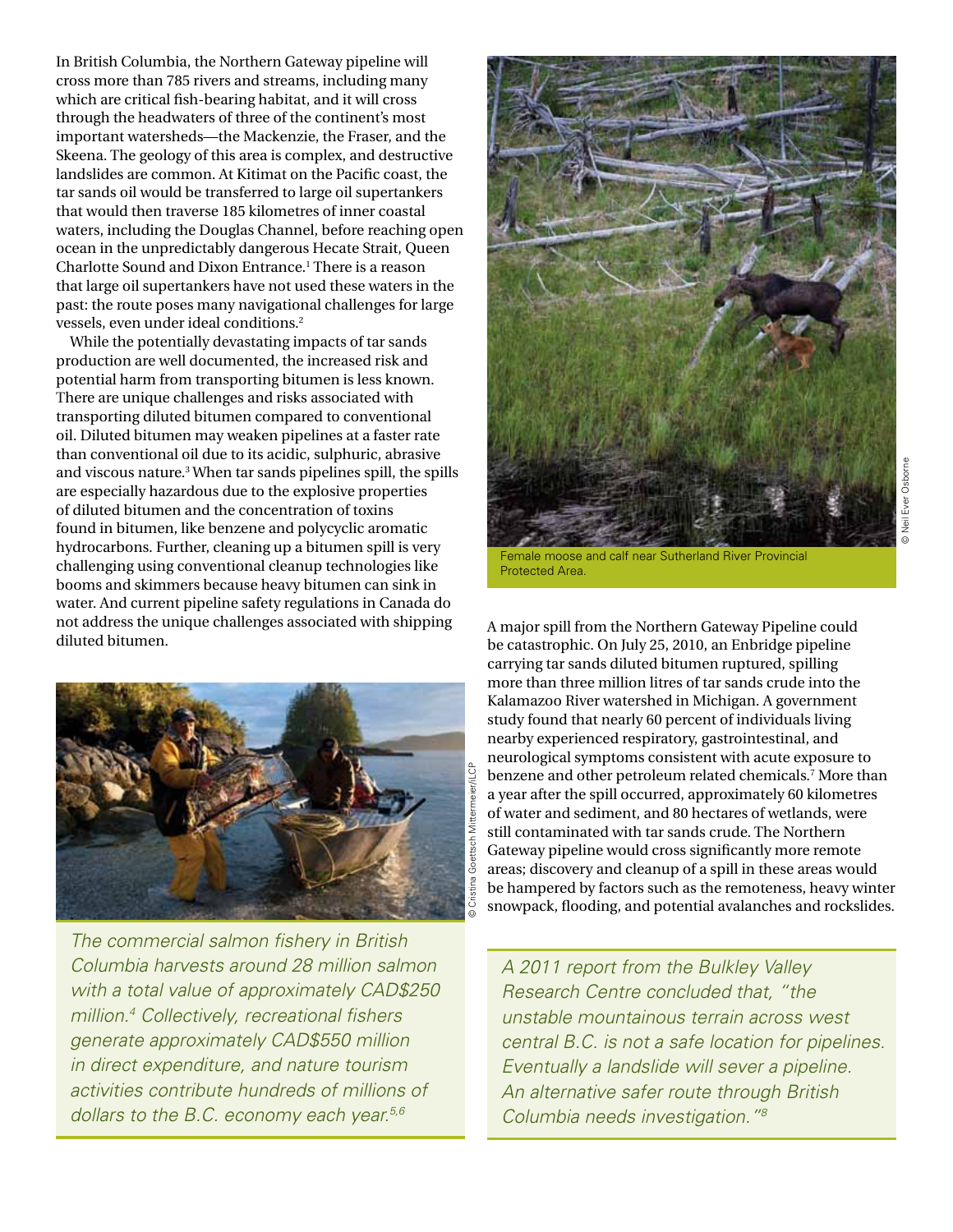In British Columbia, the Northern Gateway pipeline will cross more than 785 rivers and streams, including many which are critical fish-bearing habitat, and it will cross through the headwaters of three of the continent's most important watersheds—the Mackenzie, the Fraser, and the Skeena. The geology of this area is complex, and destructive landslides are common. At Kitimat on the Pacific coast, the tar sands oil would be transferred to large oil supertankers that would then traverse 185 kilometres of inner coastal waters, including the Douglas Channel, before reaching open ocean in the unpredictably dangerous Hecate Strait, Queen Charlotte Sound and Dixon Entrance.1 There is a reason that large oil supertankers have not used these waters in the past: the route poses many navigational challenges for large vessels, even under ideal conditions.2

While the potentially devastating impacts of tar sands production are well documented, the increased risk and potential harm from transporting bitumen is less known. There are unique challenges and risks associated with transporting diluted bitumen compared to conventional oil. Diluted bitumen may weaken pipelines at a faster rate than conventional oil due to its acidic, sulphuric, abrasive and viscous nature.3 When tar sands pipelines spill, the spills are especially hazardous due to the explosive properties of diluted bitumen and the concentration of toxins found in bitumen, like benzene and polycyclic aromatic hydrocarbons. Further, cleaning up a bitumen spill is very challenging using conventional cleanup technologies like booms and skimmers because heavy bitumen can sink in water. And current pipeline safety regulations in Canada do not address the unique challenges associated with shipping diluted bitumen.



*The commercial salmon fishery in British Columbia harvests around 28 million salmon with a total value of approximately CAD\$250 million.4 Collectively, recreational fishers generate approximately CAD\$550 million in direct expenditure, and nature tourism activities contribute hundreds of millions of dollars to the B.C. economy each year.5,6*



Female moose and calf near Sutherland River Provincial Protected Area.

A major spill from the Northern Gateway Pipeline could be catastrophic. On July 25, 2010, an Enbridge pipeline carrying tar sands diluted bitumen ruptured, spilling more than three million litres of tar sands crude into the Kalamazoo River watershed in Michigan. A government study found that nearly 60 percent of individuals living nearby experienced respiratory, gastrointestinal, and neurological symptoms consistent with acute exposure to benzene and other petroleum related chemicals.7 More than a year after the spill occurred, approximately 60 kilometres of water and sediment, and 80 hectares of wetlands, were still contaminated with tar sands crude. The Northern Gateway pipeline would cross significantly more remote areas; discovery and cleanup of a spill in these areas would be hampered by factors such as the remoteness, heavy winter snowpack, flooding, and potential avalanches and rockslides.

*A 2011 report from the Bulkley Valley Research Centre concluded that, "the unstable mountainous terrain across west central B.C. is not a safe location for pipelines. Eventually a landslide will sever a pipeline. An alternative safer route through British Columbia needs investigation."8*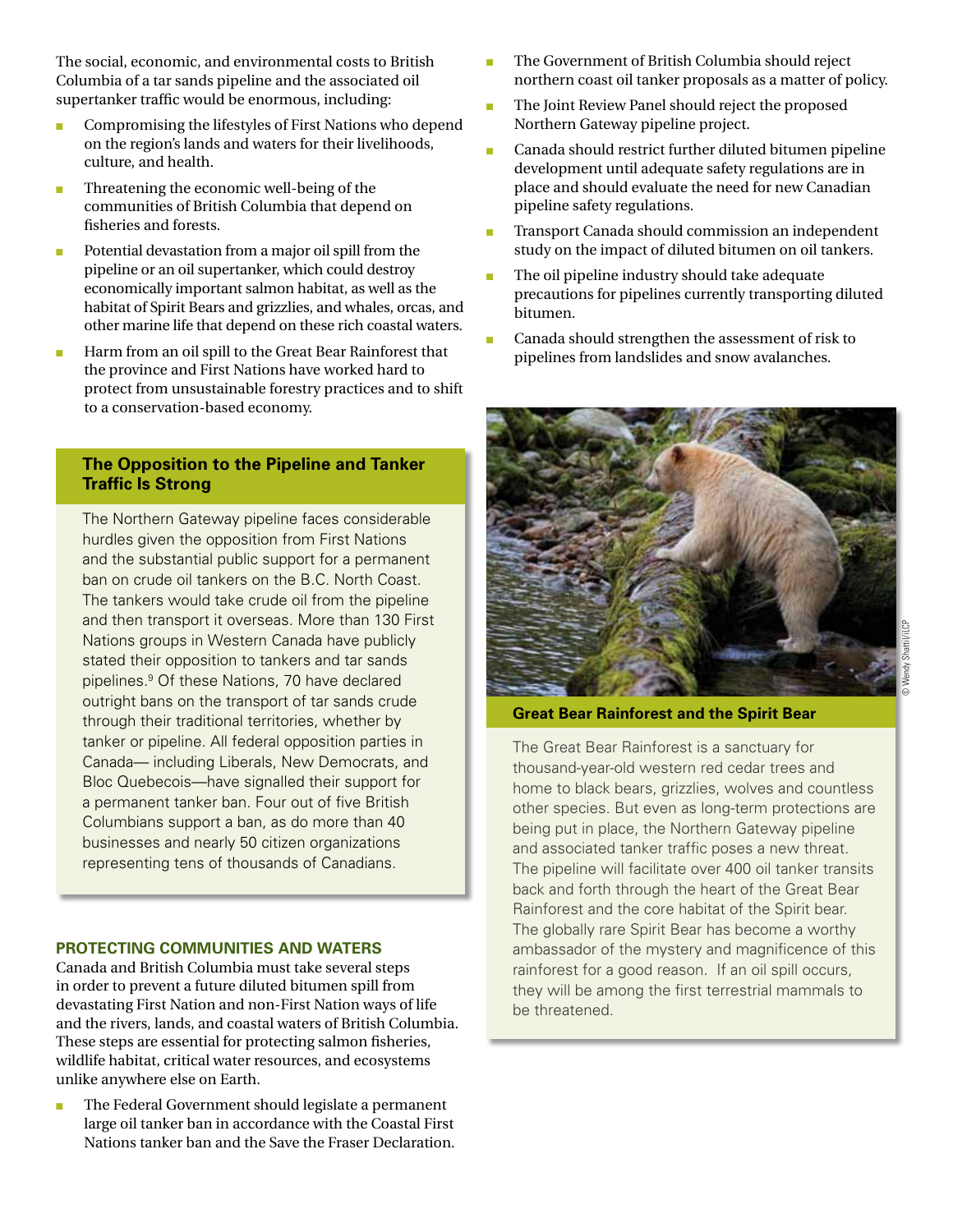The social, economic, and environmental costs to British Columbia of a tar sands pipeline and the associated oil supertanker traffic would be enormous, including:

- **n** Compromising the lifestyles of First Nations who depend on the region's lands and waters for their livelihoods, culture, and health.
- Threatening the economic well-being of the communities of British Columbia that depend on fisheries and forests.
- Potential devastation from a major oil spill from the pipeline or an oil supertanker, which could destroy economically important salmon habitat, as well as the habitat of Spirit Bears and grizzlies, and whales, orcas, and other marine life that depend on these rich coastal waters.
- **n** Harm from an oil spill to the Great Bear Rainforest that the province and First Nations have worked hard to protect from unsustainable forestry practices and to shift to a conservation-based economy.

## **The Opposition to the Pipeline and Tanker Traffic Is Strong**

The Northern Gateway pipeline faces considerable hurdles given the opposition from First Nations and the substantial public support for a permanent ban on crude oil tankers on the B.C. North Coast. The tankers would take crude oil from the pipeline and then transport it overseas. More than 130 First Nations groups in Western Canada have publicly stated their opposition to tankers and tar sands pipelines.9 Of these Nations, 70 have declared outright bans on the transport of tar sands crude through their traditional territories, whether by tanker or pipeline. All federal opposition parties in Canada— including Liberals, New Democrats, and Bloc Quebecois—have signalled their support for a permanent tanker ban. Four out of five British Columbians support a ban, as do more than 40 businesses and nearly 50 citizen organizations representing tens of thousands of Canadians.

## **Protecting Communities and Waters**

Canada and British Columbia must take several steps in order to prevent a future diluted bitumen spill from devastating First Nation and non-First Nation ways of life and the rivers, lands, and coastal waters of British Columbia. These steps are essential for protecting salmon fisheries, wildlife habitat, critical water resources, and ecosystems unlike anywhere else on Earth.

The Federal Government should legislate a permanent large oil tanker ban in accordance with the Coastal First Nations tanker ban and the Save the Fraser Declaration.

- n The Government of British Columbia should reject northern coast oil tanker proposals as a matter of policy.
- n The Joint Review Panel should reject the proposed Northern Gateway pipeline project.
- $\blacksquare$  Canada should restrict further diluted bitumen pipeline development until adequate safety regulations are in place and should evaluate the need for new Canadian pipeline safety regulations.
- n Transport Canada should commission an independent study on the impact of diluted bitumen on oil tankers.
- The oil pipeline industry should take adequate precautions for pipelines currently transporting diluted bitumen.
- Canada should strengthen the assessment of risk to pipelines from landslides and snow avalanches.



**Great Bear Rainforest and the Spirit Bear**

The Great Bear Rainforest is a sanctuary for thousand-year-old western red cedar trees and home to black bears, grizzlies, wolves and countless other species. But even as long-term protections are being put in place, the Northern Gateway pipeline and associated tanker traffic poses a new threat. The pipeline will facilitate over 400 oil tanker transits back and forth through the heart of the Great Bear Rainforest and the core habitat of the Spirit bear. The globally rare Spirit Bear has become a worthy ambassador of the mystery and magnificence of this rainforest for a good reason. If an oil spill occurs, they will be among the first terrestrial mammals to be threatened.